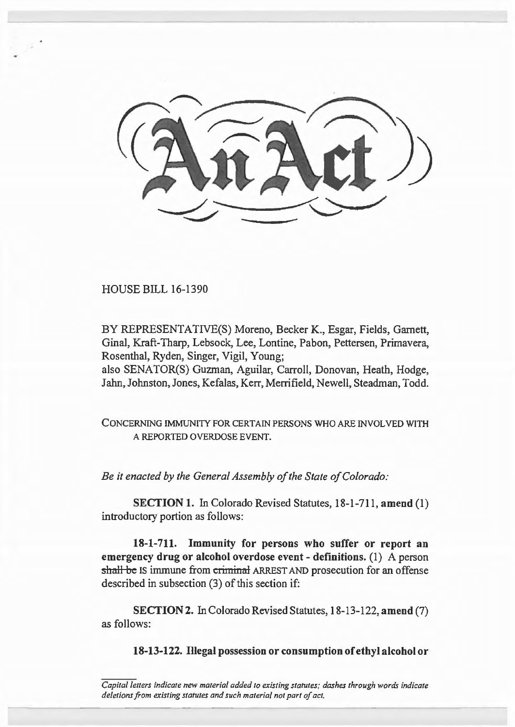

HOUSE BILL 16-1390

BY REPRESENTATIVE(S) Moreno, Becker K., Esgar, Fields, Garnett, Ginal, Kraft-Tharp, Lebsock, Lee, Lontine, Pabon, Pettersen, Primavera, Rosenthal, Ryden, Singer, Vigil, Young;

also SENATOR(S) Guzman, Aguilar, Carroll, Donovan, Heath, Hodge, Jahn, Johnston, Jones, Kefalas, Kerr, Merrifield, Newell, Steadman, Todd.

CONCERNING IMMUNITY FOR CERTAIN PERSONS WHO ARE INVOLVED WITH A REPORTED OVERDOSE EVENT.

*Be it enacted by the General Assembly of the State of Colorado:* 

SECTION 1. In Colorado Revised Statutes, 18-1-711, amend (1) introductory portion as follows:

18-1-711. Immunity for persons who suffer or report an emergency drug or alcohol overdose event- definitions. (1) A person shall be IS immune from criminal ARREST AND prosecution for an offense described in subsection (3) of this section if:

SECTION 2. In Colorado Revised Statutes, 18-13-122, amend (7) as follows:

18-13-122. Illegal possession or consumption of ethyl alcohol or

*Capital letters indicate new material added to existing statutes; dashes through words indicate deletions from existing statutes and such material not part of act.*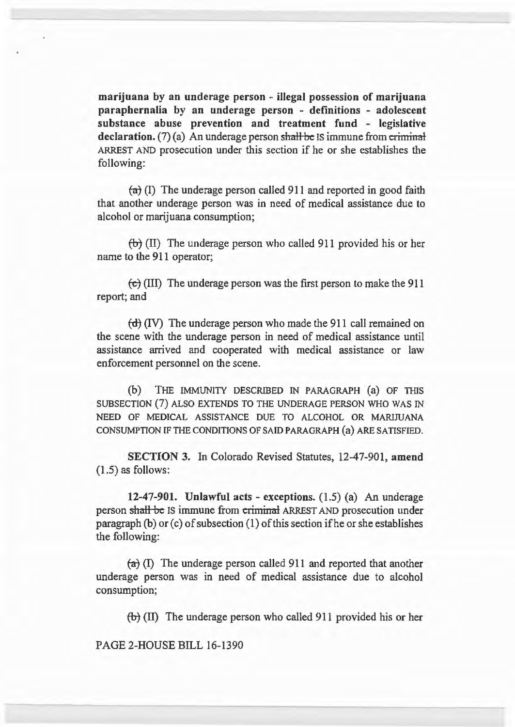marijuana by an underage person - iJlegal possession of marijuana paraphernalia by an underage person - definitions - adolescent substance abuse prevention and treatment fund - legislative declaration.  $(7)$  (a) An underage person shall be IS immune from criminal ARREST AND prosecution under this section if he or she establishes the following:

 $(a)$  (I) The underage person called 911 and reported in good faith that another underage person was in need of medical assistance due to alcohol or marijuana consumption;

 $(b)$  (II) The underage person who called 911 provided his or her name to the 911 operator;

 $\left(\frac{t}{t}\right)$  (III) The underage person was the first person to make the 911 report; and

 $(d)$  (IV) The underage person who made the 911 call remained on the scene with the underage person in need of medical assistance until assistance arrived and cooperated with medical assistance or law enforcement personnel on the scene.

(b) THE IMMUNITY DESCRIBED IN PARAGRAPH {a) OF THIS SUBSECTION (7) ALSO EXTENDS TO THE UNDERAGE PERSON WHO WAS IN NEED OF MEDICAL ASSISTANCE DUE TO ALCOHOL OR MARIJUANA CONSUMPTION IF THE CONDITIONS OF SAID PARAGRAPH (a) ARE SATISFIED.

SECTION 3. In Colorado Revised Statutes, 12-47-901, amend (1.5) as follows:

12-47-901. Unlawful acts - exceptions.  $(1.5)$  (a) An underage person shall be IS immune from criminal ARREST AND prosecution under paragraph (b) or (c) of subsection (1) of this section if he or she establishes the following:

 $(a)$  (I) The underage person called 911 and reported that another underage person was in need of medical assistance due to alcohol consumption;

*tb]* (II) The underage person who called 911 provided his or her

PAGE 2-HOUSE BILL 16-1390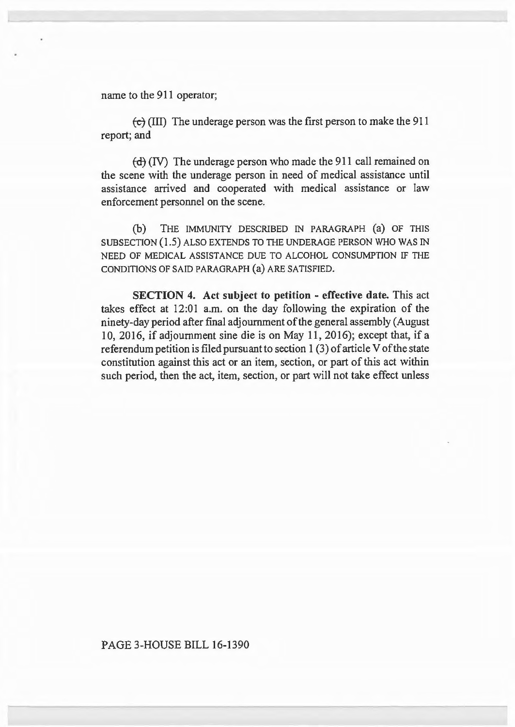name to the 911 operator;

*te]* (III) The underage person was the first person to make the 911 report; and

 $(d)$  (IV) The underage person who made the 911 call remained on the scene with the underage person in need of medical assistance until assistance arrived and cooperated with medical assistance or law enforcement personnel on the scene.

(b) THE IMMUNITY DESCRIBED IN PARAGRAPH (a) OF THIS SUBSECTION (1.5) ALSO EXTENDS TO THE UNDERAGE PERSON WHO WAS IN NEED OF MEDICAL ASSISTANCE DUE TO ALCOHOL CONSUMPTION IF THE CONDITIONS OF SAID PARAGRAPH (a) ARE SATISFIED.

SECTION 4. Act subject to petition - effective date. This act takes effect at 12:01 a.m. on the day following the expiration of the ninety-day period after final adjournment of the general assembly (August 10, 2016, if adjournment sine die is on May 11, 2016); except that, if a referendum petition is filed pursuant to section I (3) of article V of the state constitution against this act or an item, section, or part of this act within such period, then the act, item, section, or part will not take effect unless